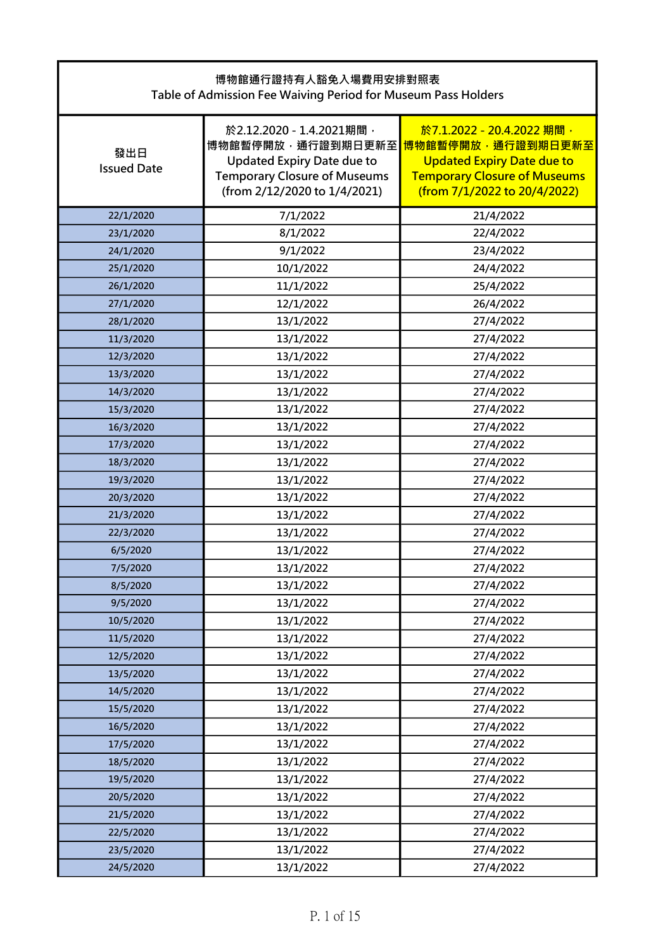| 博物館通行證持有人豁免入場費用安排對照表<br>Table of Admission Fee Waiving Period for Museum Pass Holders |                                                                                                                                                           |                                                                                                                                                            |
|---------------------------------------------------------------------------------------|-----------------------------------------------------------------------------------------------------------------------------------------------------------|------------------------------------------------------------------------------------------------------------------------------------------------------------|
| 發出日<br><b>Issued Date</b>                                                             | 於2.12.2020 - 1.4.2021期間,<br>博物館暫停開放,通行證到期日更新至<br><b>Updated Expiry Date due to</b><br><b>Temporary Closure of Museums</b><br>(from 2/12/2020 to 1/4/2021) | 於7.1.2022 - 20.4.2022 期間,<br>博物館暫停開放,通行證到期日更新至<br><b>Updated Expiry Date due to</b><br><b>Temporary Closure of Museums</b><br>(from 7/1/2022 to 20/4/2022) |
| 22/1/2020                                                                             | 7/1/2022                                                                                                                                                  | 21/4/2022                                                                                                                                                  |
| 23/1/2020                                                                             | 8/1/2022                                                                                                                                                  | 22/4/2022                                                                                                                                                  |
| 24/1/2020                                                                             | 9/1/2022                                                                                                                                                  | 23/4/2022                                                                                                                                                  |
| 25/1/2020                                                                             | 10/1/2022                                                                                                                                                 | 24/4/2022                                                                                                                                                  |
| 26/1/2020                                                                             | 11/1/2022                                                                                                                                                 | 25/4/2022                                                                                                                                                  |
| 27/1/2020                                                                             | 12/1/2022                                                                                                                                                 | 26/4/2022                                                                                                                                                  |
| 28/1/2020                                                                             | 13/1/2022                                                                                                                                                 | 27/4/2022                                                                                                                                                  |
| 11/3/2020                                                                             | 13/1/2022                                                                                                                                                 | 27/4/2022                                                                                                                                                  |
| 12/3/2020                                                                             | 13/1/2022                                                                                                                                                 | 27/4/2022                                                                                                                                                  |
| 13/3/2020                                                                             | 13/1/2022                                                                                                                                                 | 27/4/2022                                                                                                                                                  |
| 14/3/2020                                                                             | 13/1/2022                                                                                                                                                 | 27/4/2022                                                                                                                                                  |
| 15/3/2020                                                                             | 13/1/2022                                                                                                                                                 | 27/4/2022                                                                                                                                                  |
| 16/3/2020                                                                             | 13/1/2022                                                                                                                                                 | 27/4/2022                                                                                                                                                  |
| 17/3/2020                                                                             | 13/1/2022                                                                                                                                                 | 27/4/2022                                                                                                                                                  |
| 18/3/2020                                                                             | 13/1/2022                                                                                                                                                 | 27/4/2022                                                                                                                                                  |
| 19/3/2020                                                                             | 13/1/2022                                                                                                                                                 | 27/4/2022                                                                                                                                                  |
| 20/3/2020                                                                             | 13/1/2022                                                                                                                                                 | 27/4/2022                                                                                                                                                  |
| 21/3/2020                                                                             | 13/1/2022                                                                                                                                                 | 27/4/2022                                                                                                                                                  |
| 22/3/2020                                                                             | 13/1/2022                                                                                                                                                 | 27/4/2022                                                                                                                                                  |
| 6/5/2020                                                                              | 13/1/2022                                                                                                                                                 | 27/4/2022                                                                                                                                                  |
| 7/5/2020                                                                              | 13/1/2022                                                                                                                                                 | 27/4/2022                                                                                                                                                  |
| 8/5/2020                                                                              | 13/1/2022                                                                                                                                                 | 27/4/2022                                                                                                                                                  |
| 9/5/2020                                                                              | 13/1/2022                                                                                                                                                 | 27/4/2022                                                                                                                                                  |
| 10/5/2020                                                                             | 13/1/2022                                                                                                                                                 | 27/4/2022                                                                                                                                                  |
| 11/5/2020                                                                             | 13/1/2022                                                                                                                                                 | 27/4/2022                                                                                                                                                  |
| 12/5/2020                                                                             | 13/1/2022                                                                                                                                                 | 27/4/2022                                                                                                                                                  |
| 13/5/2020                                                                             | 13/1/2022                                                                                                                                                 | 27/4/2022                                                                                                                                                  |
| 14/5/2020                                                                             | 13/1/2022                                                                                                                                                 | 27/4/2022                                                                                                                                                  |
| 15/5/2020                                                                             | 13/1/2022                                                                                                                                                 | 27/4/2022                                                                                                                                                  |
| 16/5/2020                                                                             | 13/1/2022                                                                                                                                                 | 27/4/2022                                                                                                                                                  |
| 17/5/2020                                                                             | 13/1/2022                                                                                                                                                 | 27/4/2022                                                                                                                                                  |
| 18/5/2020                                                                             | 13/1/2022                                                                                                                                                 | 27/4/2022                                                                                                                                                  |
| 19/5/2020                                                                             | 13/1/2022                                                                                                                                                 | 27/4/2022                                                                                                                                                  |
| 20/5/2020                                                                             | 13/1/2022                                                                                                                                                 | 27/4/2022                                                                                                                                                  |
| 21/5/2020                                                                             | 13/1/2022                                                                                                                                                 | 27/4/2022                                                                                                                                                  |
| 22/5/2020                                                                             | 13/1/2022                                                                                                                                                 | 27/4/2022                                                                                                                                                  |
| 23/5/2020                                                                             | 13/1/2022                                                                                                                                                 | 27/4/2022                                                                                                                                                  |
| 24/5/2020                                                                             | 13/1/2022                                                                                                                                                 | 27/4/2022                                                                                                                                                  |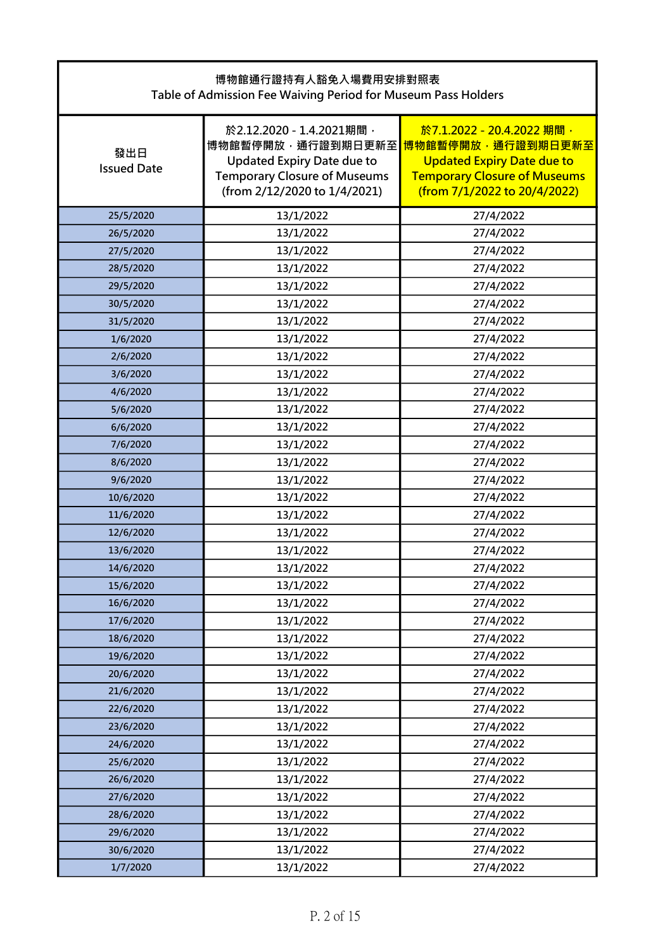| 博物館通行證持有人豁免入場費用安排對照表<br>Table of Admission Fee Waiving Period for Museum Pass Holders |                                                                                                                                                           |                                                                                                                                                            |
|---------------------------------------------------------------------------------------|-----------------------------------------------------------------------------------------------------------------------------------------------------------|------------------------------------------------------------------------------------------------------------------------------------------------------------|
| 發出日<br><b>Issued Date</b>                                                             | 於2.12.2020 - 1.4.2021期間,<br>博物館暫停開放,通行證到期日更新至<br><b>Updated Expiry Date due to</b><br><b>Temporary Closure of Museums</b><br>(from 2/12/2020 to 1/4/2021) | 於7.1.2022 - 20.4.2022 期間,<br>博物館暫停開放,通行證到期日更新至<br><b>Updated Expiry Date due to</b><br><b>Temporary Closure of Museums</b><br>(from 7/1/2022 to 20/4/2022) |
| 25/5/2020                                                                             | 13/1/2022                                                                                                                                                 | 27/4/2022                                                                                                                                                  |
| 26/5/2020                                                                             | 13/1/2022                                                                                                                                                 | 27/4/2022                                                                                                                                                  |
| 27/5/2020                                                                             | 13/1/2022                                                                                                                                                 | 27/4/2022                                                                                                                                                  |
| 28/5/2020                                                                             | 13/1/2022                                                                                                                                                 | 27/4/2022                                                                                                                                                  |
| 29/5/2020                                                                             | 13/1/2022                                                                                                                                                 | 27/4/2022                                                                                                                                                  |
| 30/5/2020                                                                             | 13/1/2022                                                                                                                                                 | 27/4/2022                                                                                                                                                  |
| 31/5/2020                                                                             | 13/1/2022                                                                                                                                                 | 27/4/2022                                                                                                                                                  |
| 1/6/2020                                                                              | 13/1/2022                                                                                                                                                 | 27/4/2022                                                                                                                                                  |
| 2/6/2020                                                                              | 13/1/2022                                                                                                                                                 | 27/4/2022                                                                                                                                                  |
| 3/6/2020                                                                              | 13/1/2022                                                                                                                                                 | 27/4/2022                                                                                                                                                  |
| 4/6/2020                                                                              | 13/1/2022                                                                                                                                                 | 27/4/2022                                                                                                                                                  |
| 5/6/2020                                                                              | 13/1/2022                                                                                                                                                 | 27/4/2022                                                                                                                                                  |
| 6/6/2020                                                                              | 13/1/2022                                                                                                                                                 | 27/4/2022                                                                                                                                                  |
| 7/6/2020                                                                              | 13/1/2022                                                                                                                                                 | 27/4/2022                                                                                                                                                  |
| 8/6/2020                                                                              | 13/1/2022                                                                                                                                                 | 27/4/2022                                                                                                                                                  |
| 9/6/2020                                                                              | 13/1/2022                                                                                                                                                 | 27/4/2022                                                                                                                                                  |
| 10/6/2020                                                                             | 13/1/2022                                                                                                                                                 | 27/4/2022                                                                                                                                                  |
| 11/6/2020                                                                             | 13/1/2022                                                                                                                                                 | 27/4/2022                                                                                                                                                  |
| 12/6/2020                                                                             | 13/1/2022                                                                                                                                                 | 27/4/2022                                                                                                                                                  |
| 13/6/2020                                                                             | 13/1/2022                                                                                                                                                 | 27/4/2022                                                                                                                                                  |
| 14/6/2020                                                                             | 13/1/2022                                                                                                                                                 | 27/4/2022                                                                                                                                                  |
| 15/6/2020                                                                             | 13/1/2022                                                                                                                                                 | 27/4/2022                                                                                                                                                  |
| 16/6/2020                                                                             | 13/1/2022                                                                                                                                                 | 27/4/2022                                                                                                                                                  |
| 17/6/2020                                                                             | 13/1/2022                                                                                                                                                 | 27/4/2022                                                                                                                                                  |
| 18/6/2020                                                                             | 13/1/2022                                                                                                                                                 | 27/4/2022                                                                                                                                                  |
| 19/6/2020                                                                             | 13/1/2022                                                                                                                                                 | 27/4/2022                                                                                                                                                  |
| 20/6/2020                                                                             | 13/1/2022                                                                                                                                                 | 27/4/2022                                                                                                                                                  |
| 21/6/2020                                                                             | 13/1/2022                                                                                                                                                 | 27/4/2022                                                                                                                                                  |
| 22/6/2020                                                                             | 13/1/2022                                                                                                                                                 | 27/4/2022                                                                                                                                                  |
| 23/6/2020                                                                             | 13/1/2022                                                                                                                                                 | 27/4/2022                                                                                                                                                  |
| 24/6/2020                                                                             | 13/1/2022                                                                                                                                                 | 27/4/2022                                                                                                                                                  |
| 25/6/2020                                                                             | 13/1/2022                                                                                                                                                 | 27/4/2022                                                                                                                                                  |
| 26/6/2020                                                                             | 13/1/2022                                                                                                                                                 | 27/4/2022                                                                                                                                                  |
| 27/6/2020                                                                             | 13/1/2022                                                                                                                                                 | 27/4/2022                                                                                                                                                  |
| 28/6/2020                                                                             | 13/1/2022                                                                                                                                                 | 27/4/2022                                                                                                                                                  |
| 29/6/2020                                                                             | 13/1/2022                                                                                                                                                 | 27/4/2022                                                                                                                                                  |
| 30/6/2020                                                                             | 13/1/2022                                                                                                                                                 | 27/4/2022                                                                                                                                                  |
| 1/7/2020                                                                              | 13/1/2022                                                                                                                                                 | 27/4/2022                                                                                                                                                  |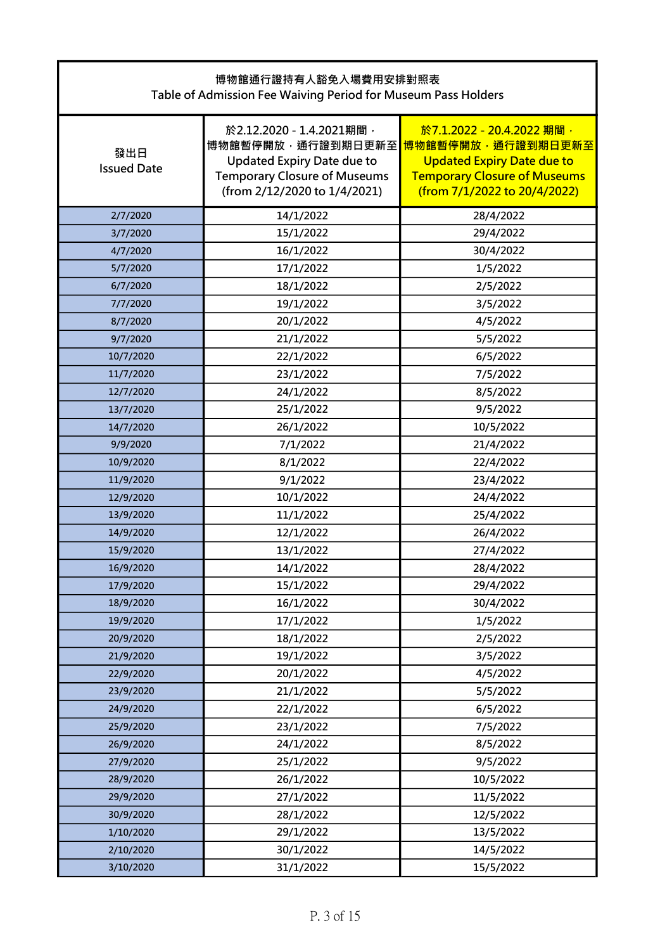| 博物館通行證持有人豁免入場費用安排對照表<br>Table of Admission Fee Waiving Period for Museum Pass Holders |                                                                                                                                                           |                                                                                                                                                            |
|---------------------------------------------------------------------------------------|-----------------------------------------------------------------------------------------------------------------------------------------------------------|------------------------------------------------------------------------------------------------------------------------------------------------------------|
| 發出日<br><b>Issued Date</b>                                                             | 於2.12.2020 - 1.4.2021期間,<br>博物館暫停開放,通行證到期日更新至<br><b>Updated Expiry Date due to</b><br><b>Temporary Closure of Museums</b><br>(from 2/12/2020 to 1/4/2021) | 於7.1.2022 - 20.4.2022 期間,<br>博物館暫停開放,通行證到期日更新至<br><b>Updated Expiry Date due to</b><br><b>Temporary Closure of Museums</b><br>(from 7/1/2022 to 20/4/2022) |
| 2/7/2020                                                                              | 14/1/2022                                                                                                                                                 | 28/4/2022                                                                                                                                                  |
| 3/7/2020                                                                              | 15/1/2022                                                                                                                                                 | 29/4/2022                                                                                                                                                  |
| 4/7/2020                                                                              | 16/1/2022                                                                                                                                                 | 30/4/2022                                                                                                                                                  |
| 5/7/2020                                                                              | 17/1/2022                                                                                                                                                 | 1/5/2022                                                                                                                                                   |
| 6/7/2020                                                                              | 18/1/2022                                                                                                                                                 | 2/5/2022                                                                                                                                                   |
| 7/7/2020                                                                              | 19/1/2022                                                                                                                                                 | 3/5/2022                                                                                                                                                   |
| 8/7/2020                                                                              | 20/1/2022                                                                                                                                                 | 4/5/2022                                                                                                                                                   |
| 9/7/2020                                                                              | 21/1/2022                                                                                                                                                 | 5/5/2022                                                                                                                                                   |
| 10/7/2020                                                                             | 22/1/2022                                                                                                                                                 | 6/5/2022                                                                                                                                                   |
| 11/7/2020                                                                             | 23/1/2022                                                                                                                                                 | 7/5/2022                                                                                                                                                   |
| 12/7/2020                                                                             | 24/1/2022                                                                                                                                                 | 8/5/2022                                                                                                                                                   |
| 13/7/2020                                                                             | 25/1/2022                                                                                                                                                 | 9/5/2022                                                                                                                                                   |
| 14/7/2020                                                                             | 26/1/2022                                                                                                                                                 | 10/5/2022                                                                                                                                                  |
| 9/9/2020                                                                              | 7/1/2022                                                                                                                                                  | 21/4/2022                                                                                                                                                  |
| 10/9/2020                                                                             | 8/1/2022                                                                                                                                                  | 22/4/2022                                                                                                                                                  |
| 11/9/2020                                                                             | 9/1/2022                                                                                                                                                  | 23/4/2022                                                                                                                                                  |
| 12/9/2020                                                                             | 10/1/2022                                                                                                                                                 | 24/4/2022                                                                                                                                                  |
| 13/9/2020                                                                             | 11/1/2022                                                                                                                                                 | 25/4/2022                                                                                                                                                  |
| 14/9/2020                                                                             | 12/1/2022                                                                                                                                                 | 26/4/2022                                                                                                                                                  |
| 15/9/2020                                                                             | 13/1/2022                                                                                                                                                 | 27/4/2022                                                                                                                                                  |
| 16/9/2020                                                                             | 14/1/2022                                                                                                                                                 | 28/4/2022                                                                                                                                                  |
| 17/9/2020                                                                             | 15/1/2022                                                                                                                                                 | 29/4/2022                                                                                                                                                  |
| 18/9/2020                                                                             | 16/1/2022                                                                                                                                                 | 30/4/2022                                                                                                                                                  |
| 19/9/2020                                                                             | 17/1/2022                                                                                                                                                 | 1/5/2022                                                                                                                                                   |
| 20/9/2020                                                                             | 18/1/2022                                                                                                                                                 | 2/5/2022                                                                                                                                                   |
| 21/9/2020                                                                             | 19/1/2022                                                                                                                                                 | 3/5/2022                                                                                                                                                   |
| 22/9/2020                                                                             | 20/1/2022                                                                                                                                                 | 4/5/2022                                                                                                                                                   |
| 23/9/2020                                                                             | 21/1/2022                                                                                                                                                 | 5/5/2022                                                                                                                                                   |
| 24/9/2020                                                                             | 22/1/2022                                                                                                                                                 | 6/5/2022                                                                                                                                                   |
| 25/9/2020                                                                             | 23/1/2022                                                                                                                                                 | 7/5/2022                                                                                                                                                   |
| 26/9/2020                                                                             | 24/1/2022                                                                                                                                                 | 8/5/2022                                                                                                                                                   |
| 27/9/2020                                                                             | 25/1/2022                                                                                                                                                 | 9/5/2022                                                                                                                                                   |
| 28/9/2020                                                                             | 26/1/2022                                                                                                                                                 | 10/5/2022                                                                                                                                                  |
| 29/9/2020                                                                             | 27/1/2022                                                                                                                                                 | 11/5/2022                                                                                                                                                  |
| 30/9/2020                                                                             | 28/1/2022                                                                                                                                                 | 12/5/2022                                                                                                                                                  |
| 1/10/2020                                                                             | 29/1/2022                                                                                                                                                 | 13/5/2022                                                                                                                                                  |
| 2/10/2020                                                                             | 30/1/2022                                                                                                                                                 | 14/5/2022                                                                                                                                                  |
| 3/10/2020                                                                             | 31/1/2022                                                                                                                                                 | 15/5/2022                                                                                                                                                  |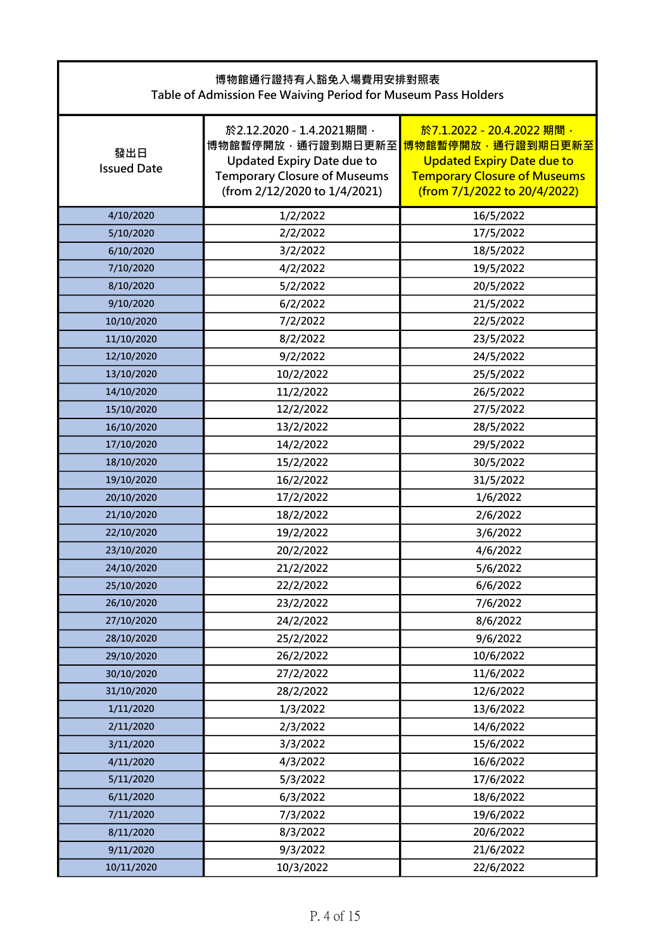| 博物館通行證持有人豁免入場費用安排對照表<br>Table of Admission Fee Waiving Period for Museum Pass Holders |                                                                                                                                                           |                                                                                                                                                            |
|---------------------------------------------------------------------------------------|-----------------------------------------------------------------------------------------------------------------------------------------------------------|------------------------------------------------------------------------------------------------------------------------------------------------------------|
| 發出日<br><b>Issued Date</b>                                                             | 於2.12.2020 - 1.4.2021期間,<br>博物館暫停開放,通行證到期日更新至<br><b>Updated Expiry Date due to</b><br><b>Temporary Closure of Museums</b><br>(from 2/12/2020 to 1/4/2021) | 於7.1.2022 - 20.4.2022 期間,<br>博物館暫停開放,通行證到期日更新至<br><b>Updated Expiry Date due to</b><br><b>Temporary Closure of Museums</b><br>(from 7/1/2022 to 20/4/2022) |
| 4/10/2020                                                                             | 1/2/2022                                                                                                                                                  | 16/5/2022                                                                                                                                                  |
| 5/10/2020                                                                             | 2/2/2022                                                                                                                                                  | 17/5/2022                                                                                                                                                  |
| 6/10/2020                                                                             | 3/2/2022                                                                                                                                                  | 18/5/2022                                                                                                                                                  |
| 7/10/2020                                                                             | 4/2/2022                                                                                                                                                  | 19/5/2022                                                                                                                                                  |
| 8/10/2020                                                                             | 5/2/2022                                                                                                                                                  | 20/5/2022                                                                                                                                                  |
| 9/10/2020                                                                             | 6/2/2022                                                                                                                                                  | 21/5/2022                                                                                                                                                  |
| 10/10/2020                                                                            | 7/2/2022                                                                                                                                                  | 22/5/2022                                                                                                                                                  |
| 11/10/2020                                                                            | 8/2/2022                                                                                                                                                  | 23/5/2022                                                                                                                                                  |
| 12/10/2020                                                                            | 9/2/2022                                                                                                                                                  | 24/5/2022                                                                                                                                                  |
| 13/10/2020                                                                            | 10/2/2022                                                                                                                                                 | 25/5/2022                                                                                                                                                  |
| 14/10/2020                                                                            | 11/2/2022                                                                                                                                                 | 26/5/2022                                                                                                                                                  |
| 15/10/2020                                                                            | 12/2/2022                                                                                                                                                 | 27/5/2022                                                                                                                                                  |
| 16/10/2020                                                                            | 13/2/2022                                                                                                                                                 | 28/5/2022                                                                                                                                                  |
| 17/10/2020                                                                            | 14/2/2022                                                                                                                                                 | 29/5/2022                                                                                                                                                  |
| 18/10/2020                                                                            | 15/2/2022                                                                                                                                                 | 30/5/2022                                                                                                                                                  |
| 19/10/2020                                                                            | 16/2/2022                                                                                                                                                 | 31/5/2022                                                                                                                                                  |
| 20/10/2020                                                                            | 17/2/2022                                                                                                                                                 | 1/6/2022                                                                                                                                                   |
| 21/10/2020                                                                            | 18/2/2022                                                                                                                                                 | 2/6/2022                                                                                                                                                   |
| 22/10/2020                                                                            | 19/2/2022                                                                                                                                                 | 3/6/2022                                                                                                                                                   |
| 23/10/2020                                                                            | 20/2/2022                                                                                                                                                 | 4/6/2022                                                                                                                                                   |
| 24/10/2020                                                                            | 21/2/2022                                                                                                                                                 | 5/6/2022                                                                                                                                                   |
| 25/10/2020                                                                            | 22/2/2022                                                                                                                                                 | 6/6/2022                                                                                                                                                   |
| 26/10/2020                                                                            | 23/2/2022                                                                                                                                                 | 7/6/2022                                                                                                                                                   |
| 27/10/2020                                                                            | 24/2/2022                                                                                                                                                 | 8/6/2022                                                                                                                                                   |
| 28/10/2020                                                                            | 25/2/2022                                                                                                                                                 | 9/6/2022                                                                                                                                                   |
| 29/10/2020                                                                            | 26/2/2022                                                                                                                                                 | 10/6/2022                                                                                                                                                  |
| 30/10/2020                                                                            | 27/2/2022                                                                                                                                                 | 11/6/2022                                                                                                                                                  |
| 31/10/2020                                                                            | 28/2/2022                                                                                                                                                 | 12/6/2022                                                                                                                                                  |
| 1/11/2020                                                                             | 1/3/2022                                                                                                                                                  | 13/6/2022                                                                                                                                                  |
| 2/11/2020                                                                             | 2/3/2022                                                                                                                                                  | 14/6/2022                                                                                                                                                  |
| 3/11/2020                                                                             | 3/3/2022                                                                                                                                                  | 15/6/2022                                                                                                                                                  |
| 4/11/2020                                                                             | 4/3/2022                                                                                                                                                  | 16/6/2022                                                                                                                                                  |
| 5/11/2020                                                                             | 5/3/2022                                                                                                                                                  | 17/6/2022                                                                                                                                                  |
| 6/11/2020                                                                             | 6/3/2022                                                                                                                                                  | 18/6/2022                                                                                                                                                  |
| 7/11/2020                                                                             | 7/3/2022                                                                                                                                                  | 19/6/2022                                                                                                                                                  |
| 8/11/2020                                                                             | 8/3/2022                                                                                                                                                  | 20/6/2022                                                                                                                                                  |
| 9/11/2020                                                                             | 9/3/2022                                                                                                                                                  | 21/6/2022                                                                                                                                                  |
| 10/11/2020                                                                            | 10/3/2022                                                                                                                                                 | 22/6/2022                                                                                                                                                  |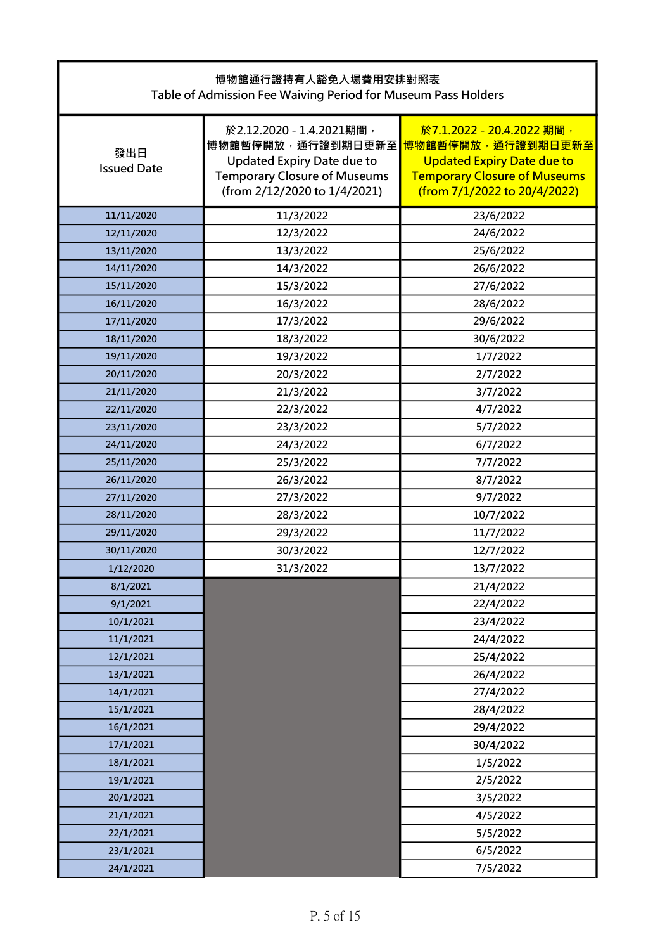| 博物館通行證持有人豁免入場費用安排對照表<br>Table of Admission Fee Waiving Period for Museum Pass Holders |                                                                                                                                                           |                                                                                                                                                            |
|---------------------------------------------------------------------------------------|-----------------------------------------------------------------------------------------------------------------------------------------------------------|------------------------------------------------------------------------------------------------------------------------------------------------------------|
| 發出日<br><b>Issued Date</b>                                                             | 於2.12.2020 - 1.4.2021期間,<br>博物館暫停開放,通行證到期日更新至<br><b>Updated Expiry Date due to</b><br><b>Temporary Closure of Museums</b><br>(from 2/12/2020 to 1/4/2021) | 於7.1.2022 - 20.4.2022 期間,<br>博物館暫停開放,通行證到期日更新至<br><b>Updated Expiry Date due to</b><br><b>Temporary Closure of Museums</b><br>(from 7/1/2022 to 20/4/2022) |
| 11/11/2020                                                                            | 11/3/2022                                                                                                                                                 | 23/6/2022                                                                                                                                                  |
| 12/11/2020                                                                            | 12/3/2022                                                                                                                                                 | 24/6/2022                                                                                                                                                  |
| 13/11/2020                                                                            | 13/3/2022                                                                                                                                                 | 25/6/2022                                                                                                                                                  |
| 14/11/2020                                                                            | 14/3/2022                                                                                                                                                 | 26/6/2022                                                                                                                                                  |
| 15/11/2020                                                                            | 15/3/2022                                                                                                                                                 | 27/6/2022                                                                                                                                                  |
| 16/11/2020                                                                            | 16/3/2022                                                                                                                                                 | 28/6/2022                                                                                                                                                  |
| 17/11/2020                                                                            | 17/3/2022                                                                                                                                                 | 29/6/2022                                                                                                                                                  |
| 18/11/2020                                                                            | 18/3/2022                                                                                                                                                 | 30/6/2022                                                                                                                                                  |
| 19/11/2020                                                                            | 19/3/2022                                                                                                                                                 | 1/7/2022                                                                                                                                                   |
| 20/11/2020                                                                            | 20/3/2022                                                                                                                                                 | 2/7/2022                                                                                                                                                   |
| 21/11/2020                                                                            | 21/3/2022                                                                                                                                                 | 3/7/2022                                                                                                                                                   |
| 22/11/2020                                                                            | 22/3/2022                                                                                                                                                 | 4/7/2022                                                                                                                                                   |
| 23/11/2020                                                                            | 23/3/2022                                                                                                                                                 | 5/7/2022                                                                                                                                                   |
| 24/11/2020                                                                            | 24/3/2022                                                                                                                                                 | 6/7/2022                                                                                                                                                   |
| 25/11/2020                                                                            | 25/3/2022                                                                                                                                                 | 7/7/2022                                                                                                                                                   |
| 26/11/2020                                                                            | 26/3/2022                                                                                                                                                 | 8/7/2022                                                                                                                                                   |
| 27/11/2020                                                                            | 27/3/2022                                                                                                                                                 | 9/7/2022                                                                                                                                                   |
| 28/11/2020                                                                            | 28/3/2022                                                                                                                                                 | 10/7/2022                                                                                                                                                  |
| 29/11/2020                                                                            | 29/3/2022                                                                                                                                                 | 11/7/2022                                                                                                                                                  |
| 30/11/2020                                                                            | 30/3/2022                                                                                                                                                 | 12/7/2022                                                                                                                                                  |
| 1/12/2020                                                                             | 31/3/2022                                                                                                                                                 | 13/7/2022                                                                                                                                                  |
| 8/1/2021                                                                              |                                                                                                                                                           | 21/4/2022                                                                                                                                                  |
| 9/1/2021                                                                              |                                                                                                                                                           | 22/4/2022                                                                                                                                                  |
| 10/1/2021                                                                             |                                                                                                                                                           | 23/4/2022                                                                                                                                                  |
| 11/1/2021                                                                             |                                                                                                                                                           | 24/4/2022                                                                                                                                                  |
| 12/1/2021                                                                             |                                                                                                                                                           | 25/4/2022                                                                                                                                                  |
| 13/1/2021                                                                             |                                                                                                                                                           | 26/4/2022                                                                                                                                                  |
| 14/1/2021                                                                             |                                                                                                                                                           | 27/4/2022                                                                                                                                                  |
| 15/1/2021                                                                             |                                                                                                                                                           | 28/4/2022                                                                                                                                                  |
| 16/1/2021                                                                             |                                                                                                                                                           | 29/4/2022                                                                                                                                                  |
| 17/1/2021                                                                             |                                                                                                                                                           | 30/4/2022                                                                                                                                                  |
| 18/1/2021                                                                             |                                                                                                                                                           | 1/5/2022                                                                                                                                                   |
| 19/1/2021                                                                             |                                                                                                                                                           | 2/5/2022                                                                                                                                                   |
| 20/1/2021                                                                             |                                                                                                                                                           | 3/5/2022                                                                                                                                                   |
| 21/1/2021                                                                             |                                                                                                                                                           | 4/5/2022                                                                                                                                                   |
| 22/1/2021                                                                             |                                                                                                                                                           | 5/5/2022                                                                                                                                                   |
| 23/1/2021                                                                             |                                                                                                                                                           | 6/5/2022                                                                                                                                                   |
| 24/1/2021                                                                             |                                                                                                                                                           | 7/5/2022                                                                                                                                                   |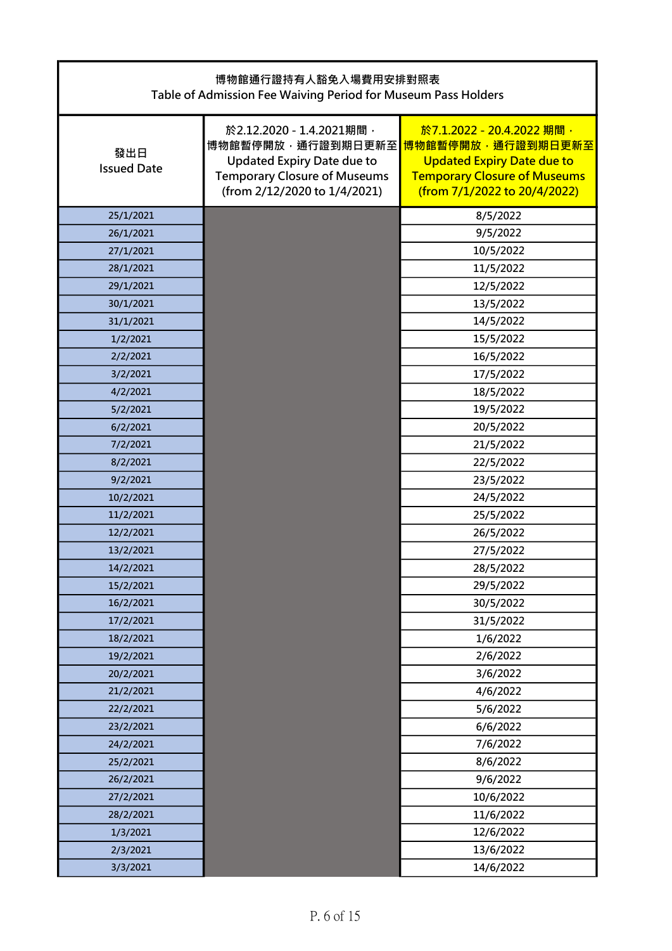| 博物館通行證持有人豁免入場費用安排對照表<br>Table of Admission Fee Waiving Period for Museum Pass Holders |                                                                                                                                                           |                                                                                                                                                            |
|---------------------------------------------------------------------------------------|-----------------------------------------------------------------------------------------------------------------------------------------------------------|------------------------------------------------------------------------------------------------------------------------------------------------------------|
| 發出日<br><b>Issued Date</b>                                                             | 於2.12.2020 - 1.4.2021期間,<br>博物館暫停開放,通行證到期日更新至<br><b>Updated Expiry Date due to</b><br><b>Temporary Closure of Museums</b><br>(from 2/12/2020 to 1/4/2021) | 於7.1.2022 - 20.4.2022 期間,<br>博物館暫停開放,通行證到期日更新至<br><b>Updated Expiry Date due to</b><br><b>Temporary Closure of Museums</b><br>(from 7/1/2022 to 20/4/2022) |
| 25/1/2021                                                                             |                                                                                                                                                           | 8/5/2022                                                                                                                                                   |
| 26/1/2021                                                                             |                                                                                                                                                           | 9/5/2022                                                                                                                                                   |
| 27/1/2021                                                                             |                                                                                                                                                           | 10/5/2022                                                                                                                                                  |
| 28/1/2021                                                                             |                                                                                                                                                           | 11/5/2022                                                                                                                                                  |
| 29/1/2021                                                                             |                                                                                                                                                           | 12/5/2022                                                                                                                                                  |
| 30/1/2021                                                                             |                                                                                                                                                           | 13/5/2022                                                                                                                                                  |
| 31/1/2021                                                                             |                                                                                                                                                           | 14/5/2022                                                                                                                                                  |
| 1/2/2021                                                                              |                                                                                                                                                           | 15/5/2022                                                                                                                                                  |
| 2/2/2021                                                                              |                                                                                                                                                           | 16/5/2022                                                                                                                                                  |
| 3/2/2021                                                                              |                                                                                                                                                           | 17/5/2022                                                                                                                                                  |
| 4/2/2021                                                                              |                                                                                                                                                           | 18/5/2022                                                                                                                                                  |
| 5/2/2021                                                                              |                                                                                                                                                           | 19/5/2022                                                                                                                                                  |
| 6/2/2021                                                                              |                                                                                                                                                           | 20/5/2022                                                                                                                                                  |
| 7/2/2021                                                                              |                                                                                                                                                           | 21/5/2022                                                                                                                                                  |
| 8/2/2021                                                                              |                                                                                                                                                           | 22/5/2022                                                                                                                                                  |
| 9/2/2021                                                                              |                                                                                                                                                           | 23/5/2022                                                                                                                                                  |
| 10/2/2021                                                                             |                                                                                                                                                           | 24/5/2022                                                                                                                                                  |
| 11/2/2021                                                                             |                                                                                                                                                           | 25/5/2022                                                                                                                                                  |
| 12/2/2021                                                                             |                                                                                                                                                           | 26/5/2022                                                                                                                                                  |
| 13/2/2021                                                                             |                                                                                                                                                           | 27/5/2022                                                                                                                                                  |
| 14/2/2021                                                                             |                                                                                                                                                           | 28/5/2022                                                                                                                                                  |
| 15/2/2021                                                                             |                                                                                                                                                           | 29/5/2022                                                                                                                                                  |
| 16/2/2021                                                                             |                                                                                                                                                           | 30/5/2022                                                                                                                                                  |
| 17/2/2021                                                                             |                                                                                                                                                           | 31/5/2022                                                                                                                                                  |
| 18/2/2021                                                                             |                                                                                                                                                           | 1/6/2022                                                                                                                                                   |
| 19/2/2021                                                                             |                                                                                                                                                           | 2/6/2022                                                                                                                                                   |
| 20/2/2021                                                                             |                                                                                                                                                           | 3/6/2022                                                                                                                                                   |
| 21/2/2021                                                                             |                                                                                                                                                           | 4/6/2022                                                                                                                                                   |
| 22/2/2021                                                                             |                                                                                                                                                           | 5/6/2022                                                                                                                                                   |
| 23/2/2021                                                                             |                                                                                                                                                           | 6/6/2022                                                                                                                                                   |
| 24/2/2021                                                                             |                                                                                                                                                           | 7/6/2022                                                                                                                                                   |
| 25/2/2021                                                                             |                                                                                                                                                           | 8/6/2022                                                                                                                                                   |
| 26/2/2021                                                                             |                                                                                                                                                           | 9/6/2022                                                                                                                                                   |
| 27/2/2021                                                                             |                                                                                                                                                           | 10/6/2022                                                                                                                                                  |
| 28/2/2021                                                                             |                                                                                                                                                           | 11/6/2022                                                                                                                                                  |
| 1/3/2021                                                                              |                                                                                                                                                           | 12/6/2022                                                                                                                                                  |
| 2/3/2021                                                                              |                                                                                                                                                           | 13/6/2022                                                                                                                                                  |
| 3/3/2021                                                                              |                                                                                                                                                           | 14/6/2022                                                                                                                                                  |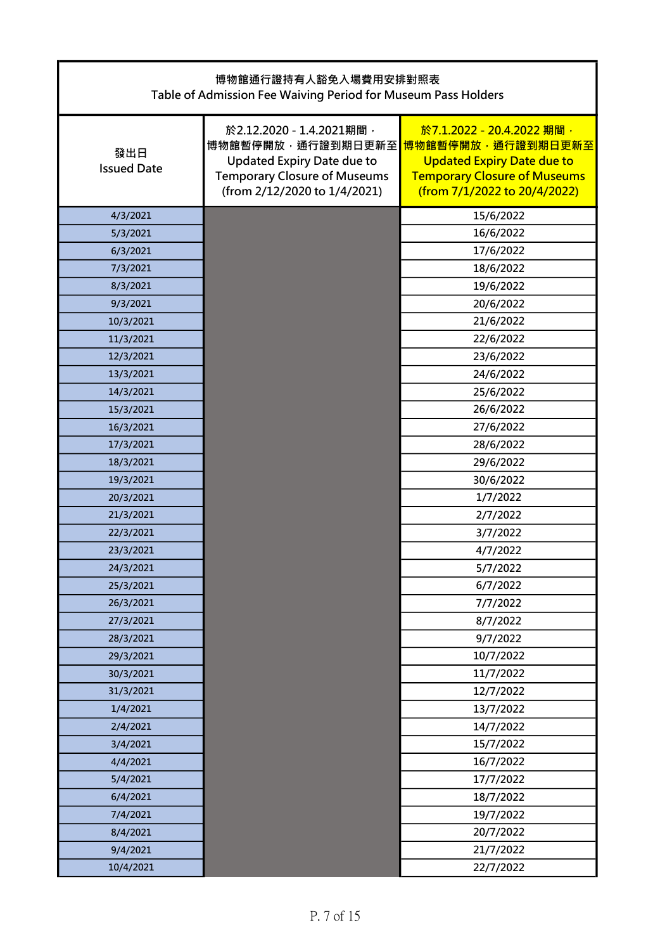| 博物館通行證持有人豁免入場費用安排對照表<br>Table of Admission Fee Waiving Period for Museum Pass Holders |                                                                                                                                                           |                                                                                                                                                            |
|---------------------------------------------------------------------------------------|-----------------------------------------------------------------------------------------------------------------------------------------------------------|------------------------------------------------------------------------------------------------------------------------------------------------------------|
| 發出日<br><b>Issued Date</b>                                                             | 於2.12.2020 - 1.4.2021期間,<br>博物館暫停開放,通行證到期日更新至<br><b>Updated Expiry Date due to</b><br><b>Temporary Closure of Museums</b><br>(from 2/12/2020 to 1/4/2021) | 於7.1.2022 - 20.4.2022 期間,<br>博物館暫停開放,通行證到期日更新至<br><b>Updated Expiry Date due to</b><br><b>Temporary Closure of Museums</b><br>(from 7/1/2022 to 20/4/2022) |
| 4/3/2021                                                                              |                                                                                                                                                           | 15/6/2022                                                                                                                                                  |
| 5/3/2021                                                                              |                                                                                                                                                           | 16/6/2022                                                                                                                                                  |
| 6/3/2021                                                                              |                                                                                                                                                           | 17/6/2022                                                                                                                                                  |
| 7/3/2021                                                                              |                                                                                                                                                           | 18/6/2022                                                                                                                                                  |
| 8/3/2021                                                                              |                                                                                                                                                           | 19/6/2022                                                                                                                                                  |
| 9/3/2021                                                                              |                                                                                                                                                           | 20/6/2022                                                                                                                                                  |
| 10/3/2021                                                                             |                                                                                                                                                           | 21/6/2022                                                                                                                                                  |
| 11/3/2021                                                                             |                                                                                                                                                           | 22/6/2022                                                                                                                                                  |
| 12/3/2021                                                                             |                                                                                                                                                           | 23/6/2022                                                                                                                                                  |
| 13/3/2021                                                                             |                                                                                                                                                           | 24/6/2022                                                                                                                                                  |
| 14/3/2021                                                                             |                                                                                                                                                           | 25/6/2022                                                                                                                                                  |
| 15/3/2021                                                                             |                                                                                                                                                           | 26/6/2022                                                                                                                                                  |
| 16/3/2021                                                                             |                                                                                                                                                           | 27/6/2022                                                                                                                                                  |
| 17/3/2021                                                                             |                                                                                                                                                           | 28/6/2022                                                                                                                                                  |
| 18/3/2021                                                                             |                                                                                                                                                           | 29/6/2022                                                                                                                                                  |
| 19/3/2021                                                                             |                                                                                                                                                           | 30/6/2022                                                                                                                                                  |
| 20/3/2021                                                                             |                                                                                                                                                           | 1/7/2022                                                                                                                                                   |
| 21/3/2021                                                                             |                                                                                                                                                           | 2/7/2022                                                                                                                                                   |
| 22/3/2021                                                                             |                                                                                                                                                           | 3/7/2022                                                                                                                                                   |
| 23/3/2021                                                                             |                                                                                                                                                           | 4/7/2022                                                                                                                                                   |
| 24/3/2021                                                                             |                                                                                                                                                           | 5/7/2022                                                                                                                                                   |
| 25/3/2021                                                                             |                                                                                                                                                           | 6/7/2022                                                                                                                                                   |
| 26/3/2021                                                                             |                                                                                                                                                           | 7/7/2022                                                                                                                                                   |
| 27/3/2021                                                                             |                                                                                                                                                           | 8/7/2022                                                                                                                                                   |
| 28/3/2021                                                                             |                                                                                                                                                           | 9/7/2022                                                                                                                                                   |
| 29/3/2021                                                                             |                                                                                                                                                           | 10/7/2022                                                                                                                                                  |
| 30/3/2021                                                                             |                                                                                                                                                           | 11/7/2022                                                                                                                                                  |
| 31/3/2021                                                                             |                                                                                                                                                           | 12/7/2022                                                                                                                                                  |
| 1/4/2021                                                                              |                                                                                                                                                           | 13/7/2022                                                                                                                                                  |
| 2/4/2021                                                                              |                                                                                                                                                           | 14/7/2022                                                                                                                                                  |
| 3/4/2021                                                                              |                                                                                                                                                           | 15/7/2022                                                                                                                                                  |
| 4/4/2021                                                                              |                                                                                                                                                           | 16/7/2022                                                                                                                                                  |
| 5/4/2021                                                                              |                                                                                                                                                           | 17/7/2022                                                                                                                                                  |
| 6/4/2021                                                                              |                                                                                                                                                           | 18/7/2022                                                                                                                                                  |
| 7/4/2021                                                                              |                                                                                                                                                           | 19/7/2022                                                                                                                                                  |
| 8/4/2021                                                                              |                                                                                                                                                           | 20/7/2022                                                                                                                                                  |
| 9/4/2021                                                                              |                                                                                                                                                           | 21/7/2022                                                                                                                                                  |
| 10/4/2021                                                                             |                                                                                                                                                           | 22/7/2022                                                                                                                                                  |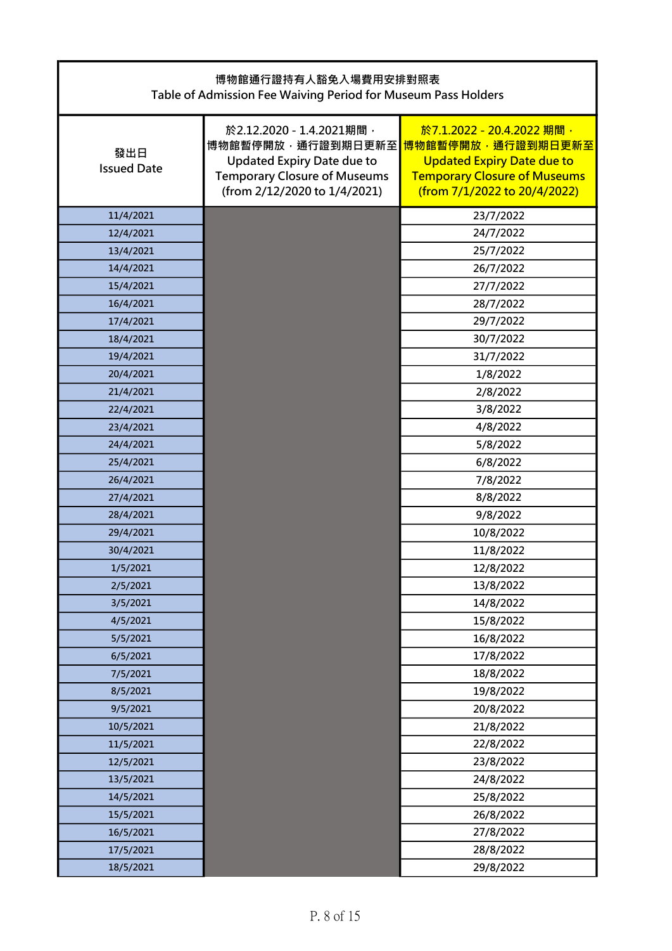| 博物館通行證持有人豁免入場費用安排對照表<br>Table of Admission Fee Waiving Period for Museum Pass Holders |                                                                                                                                                           |                                                                                                                                                            |
|---------------------------------------------------------------------------------------|-----------------------------------------------------------------------------------------------------------------------------------------------------------|------------------------------------------------------------------------------------------------------------------------------------------------------------|
| 發出日<br><b>Issued Date</b>                                                             | 於2.12.2020 - 1.4.2021期間,<br>博物館暫停開放,通行證到期日更新至<br><b>Updated Expiry Date due to</b><br><b>Temporary Closure of Museums</b><br>(from 2/12/2020 to 1/4/2021) | 於7.1.2022 - 20.4.2022 期間,<br>博物館暫停開放,通行證到期日更新至<br><b>Updated Expiry Date due to</b><br><b>Temporary Closure of Museums</b><br>(from 7/1/2022 to 20/4/2022) |
| 11/4/2021                                                                             |                                                                                                                                                           | 23/7/2022                                                                                                                                                  |
| 12/4/2021                                                                             |                                                                                                                                                           | 24/7/2022                                                                                                                                                  |
| 13/4/2021                                                                             |                                                                                                                                                           | 25/7/2022                                                                                                                                                  |
| 14/4/2021                                                                             |                                                                                                                                                           | 26/7/2022                                                                                                                                                  |
| 15/4/2021                                                                             |                                                                                                                                                           | 27/7/2022                                                                                                                                                  |
| 16/4/2021                                                                             |                                                                                                                                                           | 28/7/2022                                                                                                                                                  |
| 17/4/2021                                                                             |                                                                                                                                                           | 29/7/2022                                                                                                                                                  |
| 18/4/2021                                                                             |                                                                                                                                                           | 30/7/2022                                                                                                                                                  |
| 19/4/2021                                                                             |                                                                                                                                                           | 31/7/2022                                                                                                                                                  |
| 20/4/2021                                                                             |                                                                                                                                                           | 1/8/2022                                                                                                                                                   |
| 21/4/2021                                                                             |                                                                                                                                                           | 2/8/2022                                                                                                                                                   |
| 22/4/2021                                                                             |                                                                                                                                                           | 3/8/2022                                                                                                                                                   |
| 23/4/2021                                                                             |                                                                                                                                                           | 4/8/2022                                                                                                                                                   |
| 24/4/2021                                                                             |                                                                                                                                                           | 5/8/2022                                                                                                                                                   |
| 25/4/2021                                                                             |                                                                                                                                                           | 6/8/2022                                                                                                                                                   |
| 26/4/2021                                                                             |                                                                                                                                                           | 7/8/2022                                                                                                                                                   |
| 27/4/2021                                                                             |                                                                                                                                                           | 8/8/2022                                                                                                                                                   |
| 28/4/2021                                                                             |                                                                                                                                                           | 9/8/2022                                                                                                                                                   |
| 29/4/2021                                                                             |                                                                                                                                                           | 10/8/2022                                                                                                                                                  |
| 30/4/2021                                                                             |                                                                                                                                                           | 11/8/2022                                                                                                                                                  |
| 1/5/2021                                                                              |                                                                                                                                                           | 12/8/2022                                                                                                                                                  |
| 2/5/2021                                                                              |                                                                                                                                                           | 13/8/2022                                                                                                                                                  |
| 3/5/2021                                                                              |                                                                                                                                                           | 14/8/2022                                                                                                                                                  |
| 4/5/2021                                                                              |                                                                                                                                                           | 15/8/2022                                                                                                                                                  |
| 5/5/2021                                                                              |                                                                                                                                                           | 16/8/2022                                                                                                                                                  |
| 6/5/2021                                                                              |                                                                                                                                                           | 17/8/2022                                                                                                                                                  |
| 7/5/2021                                                                              |                                                                                                                                                           | 18/8/2022                                                                                                                                                  |
| 8/5/2021                                                                              |                                                                                                                                                           | 19/8/2022                                                                                                                                                  |
| 9/5/2021                                                                              |                                                                                                                                                           | 20/8/2022                                                                                                                                                  |
| 10/5/2021                                                                             |                                                                                                                                                           | 21/8/2022                                                                                                                                                  |
| 11/5/2021                                                                             |                                                                                                                                                           | 22/8/2022                                                                                                                                                  |
| 12/5/2021                                                                             |                                                                                                                                                           | 23/8/2022                                                                                                                                                  |
| 13/5/2021                                                                             |                                                                                                                                                           | 24/8/2022                                                                                                                                                  |
| 14/5/2021                                                                             |                                                                                                                                                           | 25/8/2022                                                                                                                                                  |
| 15/5/2021                                                                             |                                                                                                                                                           | 26/8/2022                                                                                                                                                  |
| 16/5/2021                                                                             |                                                                                                                                                           | 27/8/2022                                                                                                                                                  |
| 17/5/2021                                                                             |                                                                                                                                                           | 28/8/2022                                                                                                                                                  |
| 18/5/2021                                                                             |                                                                                                                                                           | 29/8/2022                                                                                                                                                  |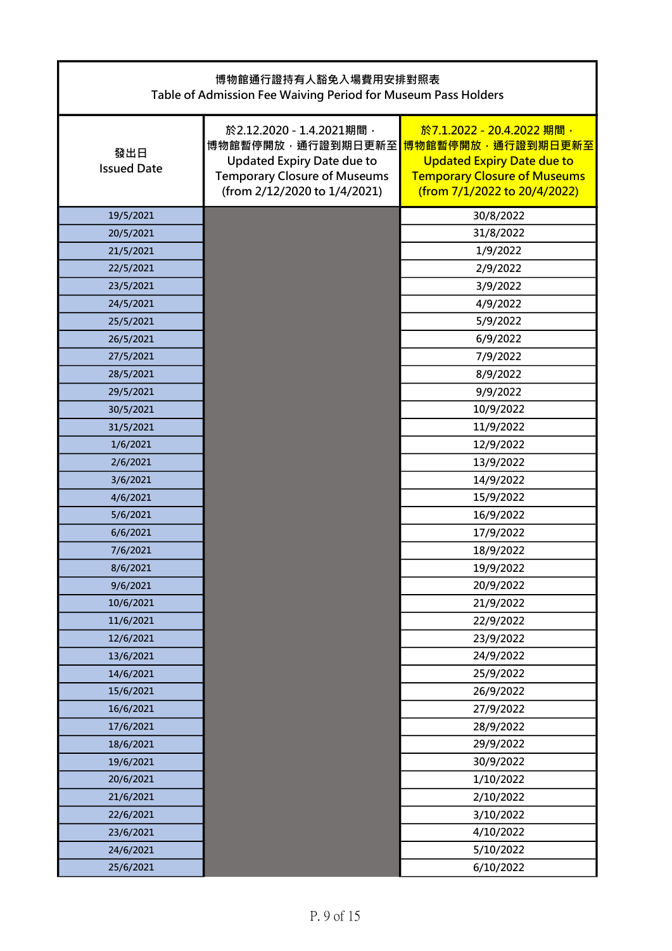| 博物館通行證持有人豁免入場費用安排對照表<br>Table of Admission Fee Waiving Period for Museum Pass Holders |                                                                                                                                                           |                                                                                                                                                            |
|---------------------------------------------------------------------------------------|-----------------------------------------------------------------------------------------------------------------------------------------------------------|------------------------------------------------------------------------------------------------------------------------------------------------------------|
| 發出日<br><b>Issued Date</b>                                                             | 於2.12.2020 - 1.4.2021期間,<br>博物館暫停開放,通行證到期日更新至<br><b>Updated Expiry Date due to</b><br><b>Temporary Closure of Museums</b><br>(from 2/12/2020 to 1/4/2021) | 於7.1.2022 - 20.4.2022 期間,<br>博物館暫停開放,通行證到期日更新至<br><b>Updated Expiry Date due to</b><br><b>Temporary Closure of Museums</b><br>(from 7/1/2022 to 20/4/2022) |
| 19/5/2021                                                                             |                                                                                                                                                           | 30/8/2022                                                                                                                                                  |
| 20/5/2021                                                                             |                                                                                                                                                           | 31/8/2022                                                                                                                                                  |
| 21/5/2021                                                                             |                                                                                                                                                           | 1/9/2022                                                                                                                                                   |
| 22/5/2021                                                                             |                                                                                                                                                           | 2/9/2022                                                                                                                                                   |
| 23/5/2021                                                                             |                                                                                                                                                           | 3/9/2022                                                                                                                                                   |
| 24/5/2021                                                                             |                                                                                                                                                           | 4/9/2022                                                                                                                                                   |
| 25/5/2021                                                                             |                                                                                                                                                           | 5/9/2022                                                                                                                                                   |
| 26/5/2021                                                                             |                                                                                                                                                           | 6/9/2022                                                                                                                                                   |
| 27/5/2021                                                                             |                                                                                                                                                           | 7/9/2022                                                                                                                                                   |
| 28/5/2021                                                                             |                                                                                                                                                           | 8/9/2022                                                                                                                                                   |
| 29/5/2021                                                                             |                                                                                                                                                           | 9/9/2022                                                                                                                                                   |
| 30/5/2021                                                                             |                                                                                                                                                           | 10/9/2022                                                                                                                                                  |
| 31/5/2021                                                                             |                                                                                                                                                           | 11/9/2022                                                                                                                                                  |
| 1/6/2021                                                                              |                                                                                                                                                           | 12/9/2022                                                                                                                                                  |
| 2/6/2021                                                                              |                                                                                                                                                           | 13/9/2022                                                                                                                                                  |
| 3/6/2021                                                                              |                                                                                                                                                           | 14/9/2022                                                                                                                                                  |
| 4/6/2021                                                                              |                                                                                                                                                           | 15/9/2022                                                                                                                                                  |
| 5/6/2021                                                                              |                                                                                                                                                           | 16/9/2022                                                                                                                                                  |
| 6/6/2021                                                                              |                                                                                                                                                           | 17/9/2022                                                                                                                                                  |
| 7/6/2021                                                                              |                                                                                                                                                           | 18/9/2022                                                                                                                                                  |
| 8/6/2021                                                                              |                                                                                                                                                           | 19/9/2022                                                                                                                                                  |
| 9/6/2021                                                                              |                                                                                                                                                           | 20/9/2022                                                                                                                                                  |
| 10/6/2021                                                                             |                                                                                                                                                           | 21/9/2022                                                                                                                                                  |
| 11/6/2021                                                                             |                                                                                                                                                           | 22/9/2022                                                                                                                                                  |
| 12/6/2021                                                                             |                                                                                                                                                           | 23/9/2022                                                                                                                                                  |
| 13/6/2021                                                                             |                                                                                                                                                           | 24/9/2022                                                                                                                                                  |
| 14/6/2021                                                                             |                                                                                                                                                           | 25/9/2022                                                                                                                                                  |
| 15/6/2021                                                                             |                                                                                                                                                           | 26/9/2022                                                                                                                                                  |
| 16/6/2021                                                                             |                                                                                                                                                           | 27/9/2022                                                                                                                                                  |
| 17/6/2021                                                                             |                                                                                                                                                           | 28/9/2022                                                                                                                                                  |
| 18/6/2021                                                                             |                                                                                                                                                           | 29/9/2022                                                                                                                                                  |
| 19/6/2021                                                                             |                                                                                                                                                           | 30/9/2022                                                                                                                                                  |
| 20/6/2021                                                                             |                                                                                                                                                           | 1/10/2022                                                                                                                                                  |
| 21/6/2021                                                                             |                                                                                                                                                           | 2/10/2022                                                                                                                                                  |
| 22/6/2021                                                                             |                                                                                                                                                           | 3/10/2022                                                                                                                                                  |
| 23/6/2021                                                                             |                                                                                                                                                           | 4/10/2022                                                                                                                                                  |
| 24/6/2021                                                                             |                                                                                                                                                           | 5/10/2022                                                                                                                                                  |
| 25/6/2021                                                                             |                                                                                                                                                           | 6/10/2022                                                                                                                                                  |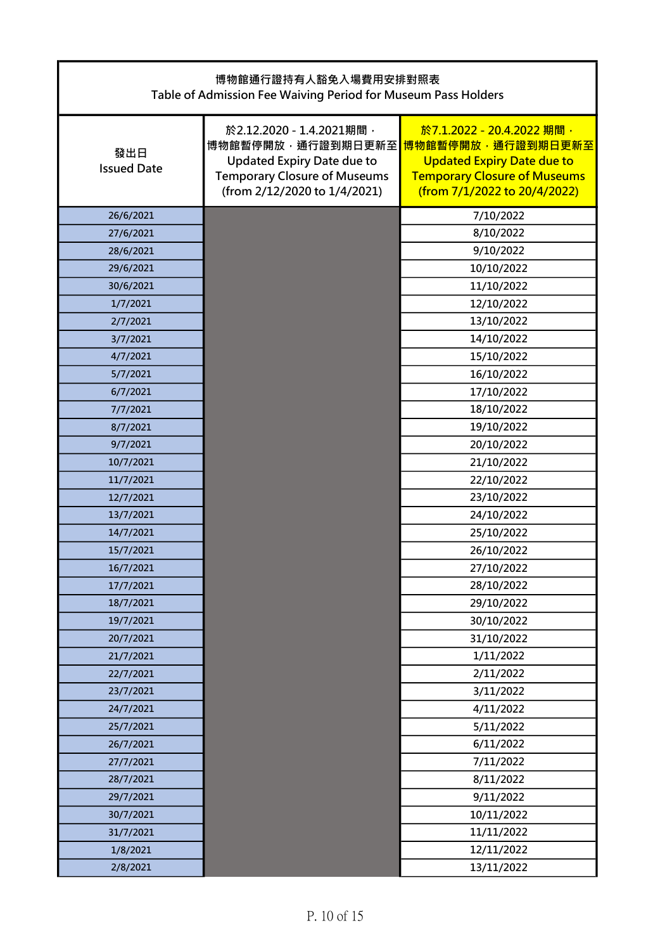| 博物館通行證持有人豁免入場費用安排對照表<br>Table of Admission Fee Waiving Period for Museum Pass Holders |                                                                                                                                                           |                                                                                                                                                            |
|---------------------------------------------------------------------------------------|-----------------------------------------------------------------------------------------------------------------------------------------------------------|------------------------------------------------------------------------------------------------------------------------------------------------------------|
| 發出日<br><b>Issued Date</b>                                                             | 於2.12.2020 - 1.4.2021期間,<br>博物館暫停開放,通行證到期日更新至<br><b>Updated Expiry Date due to</b><br><b>Temporary Closure of Museums</b><br>(from 2/12/2020 to 1/4/2021) | 於7.1.2022 - 20.4.2022 期間,<br>博物館暫停開放,通行證到期日更新至<br><b>Updated Expiry Date due to</b><br><b>Temporary Closure of Museums</b><br>(from 7/1/2022 to 20/4/2022) |
| 26/6/2021                                                                             |                                                                                                                                                           | 7/10/2022                                                                                                                                                  |
| 27/6/2021                                                                             |                                                                                                                                                           | 8/10/2022                                                                                                                                                  |
| 28/6/2021                                                                             |                                                                                                                                                           | 9/10/2022                                                                                                                                                  |
| 29/6/2021                                                                             |                                                                                                                                                           | 10/10/2022                                                                                                                                                 |
| 30/6/2021                                                                             |                                                                                                                                                           | 11/10/2022                                                                                                                                                 |
| 1/7/2021                                                                              |                                                                                                                                                           | 12/10/2022                                                                                                                                                 |
| 2/7/2021                                                                              |                                                                                                                                                           | 13/10/2022                                                                                                                                                 |
| 3/7/2021                                                                              |                                                                                                                                                           | 14/10/2022                                                                                                                                                 |
| 4/7/2021                                                                              |                                                                                                                                                           | 15/10/2022                                                                                                                                                 |
| 5/7/2021                                                                              |                                                                                                                                                           | 16/10/2022                                                                                                                                                 |
| 6/7/2021                                                                              |                                                                                                                                                           | 17/10/2022                                                                                                                                                 |
| 7/7/2021                                                                              |                                                                                                                                                           | 18/10/2022                                                                                                                                                 |
| 8/7/2021                                                                              |                                                                                                                                                           | 19/10/2022                                                                                                                                                 |
| 9/7/2021                                                                              |                                                                                                                                                           | 20/10/2022                                                                                                                                                 |
| 10/7/2021                                                                             |                                                                                                                                                           | 21/10/2022                                                                                                                                                 |
| 11/7/2021                                                                             |                                                                                                                                                           | 22/10/2022                                                                                                                                                 |
| 12/7/2021                                                                             |                                                                                                                                                           | 23/10/2022                                                                                                                                                 |
| 13/7/2021                                                                             |                                                                                                                                                           | 24/10/2022                                                                                                                                                 |
| 14/7/2021                                                                             |                                                                                                                                                           | 25/10/2022                                                                                                                                                 |
| 15/7/2021                                                                             |                                                                                                                                                           | 26/10/2022                                                                                                                                                 |
| 16/7/2021                                                                             |                                                                                                                                                           | 27/10/2022                                                                                                                                                 |
| 17/7/2021                                                                             |                                                                                                                                                           | 28/10/2022                                                                                                                                                 |
| 18/7/2021                                                                             |                                                                                                                                                           | 29/10/2022                                                                                                                                                 |
| 19/7/2021                                                                             |                                                                                                                                                           | 30/10/2022                                                                                                                                                 |
| 20/7/2021                                                                             |                                                                                                                                                           | 31/10/2022                                                                                                                                                 |
| 21/7/2021                                                                             |                                                                                                                                                           | 1/11/2022                                                                                                                                                  |
| 22/7/2021                                                                             |                                                                                                                                                           | 2/11/2022                                                                                                                                                  |
| 23/7/2021                                                                             |                                                                                                                                                           | 3/11/2022                                                                                                                                                  |
| 24/7/2021                                                                             |                                                                                                                                                           | 4/11/2022                                                                                                                                                  |
| 25/7/2021                                                                             |                                                                                                                                                           | 5/11/2022                                                                                                                                                  |
| 26/7/2021                                                                             |                                                                                                                                                           | 6/11/2022                                                                                                                                                  |
| 27/7/2021                                                                             |                                                                                                                                                           | 7/11/2022                                                                                                                                                  |
| 28/7/2021                                                                             |                                                                                                                                                           | 8/11/2022                                                                                                                                                  |
| 29/7/2021                                                                             |                                                                                                                                                           | 9/11/2022                                                                                                                                                  |
| 30/7/2021                                                                             |                                                                                                                                                           | 10/11/2022                                                                                                                                                 |
| 31/7/2021                                                                             |                                                                                                                                                           | 11/11/2022                                                                                                                                                 |
| 1/8/2021                                                                              |                                                                                                                                                           | 12/11/2022                                                                                                                                                 |
| 2/8/2021                                                                              |                                                                                                                                                           | 13/11/2022                                                                                                                                                 |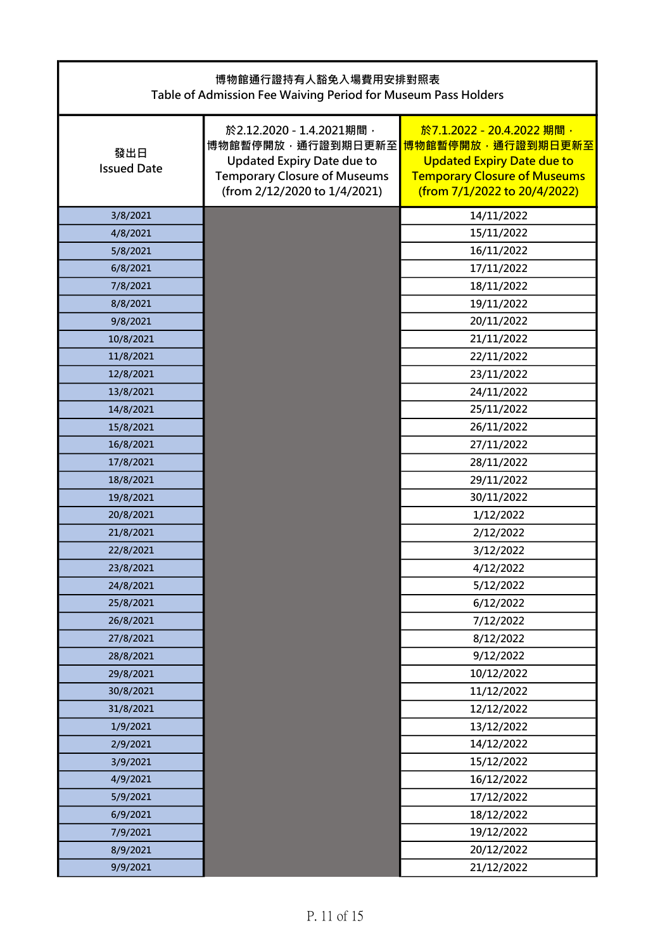| 博物館通行證持有人豁免入場費用安排對照表<br>Table of Admission Fee Waiving Period for Museum Pass Holders |                                                                                                                                                           |                                                                                                                                                            |
|---------------------------------------------------------------------------------------|-----------------------------------------------------------------------------------------------------------------------------------------------------------|------------------------------------------------------------------------------------------------------------------------------------------------------------|
| 發出日<br><b>Issued Date</b>                                                             | 於2.12.2020 - 1.4.2021期間,<br>博物館暫停開放,通行證到期日更新至<br><b>Updated Expiry Date due to</b><br><b>Temporary Closure of Museums</b><br>(from 2/12/2020 to 1/4/2021) | 於7.1.2022 - 20.4.2022 期間,<br>博物館暫停開放,通行證到期日更新至<br><b>Updated Expiry Date due to</b><br><b>Temporary Closure of Museums</b><br>(from 7/1/2022 to 20/4/2022) |
| 3/8/2021                                                                              |                                                                                                                                                           | 14/11/2022                                                                                                                                                 |
| 4/8/2021                                                                              |                                                                                                                                                           | 15/11/2022                                                                                                                                                 |
| 5/8/2021                                                                              |                                                                                                                                                           | 16/11/2022                                                                                                                                                 |
| 6/8/2021                                                                              |                                                                                                                                                           | 17/11/2022                                                                                                                                                 |
| 7/8/2021                                                                              |                                                                                                                                                           | 18/11/2022                                                                                                                                                 |
| 8/8/2021                                                                              |                                                                                                                                                           | 19/11/2022                                                                                                                                                 |
| 9/8/2021                                                                              |                                                                                                                                                           | 20/11/2022                                                                                                                                                 |
| 10/8/2021                                                                             |                                                                                                                                                           | 21/11/2022                                                                                                                                                 |
| 11/8/2021                                                                             |                                                                                                                                                           | 22/11/2022                                                                                                                                                 |
| 12/8/2021                                                                             |                                                                                                                                                           | 23/11/2022                                                                                                                                                 |
| 13/8/2021                                                                             |                                                                                                                                                           | 24/11/2022                                                                                                                                                 |
| 14/8/2021                                                                             |                                                                                                                                                           | 25/11/2022                                                                                                                                                 |
| 15/8/2021                                                                             |                                                                                                                                                           | 26/11/2022                                                                                                                                                 |
| 16/8/2021                                                                             |                                                                                                                                                           | 27/11/2022                                                                                                                                                 |
| 17/8/2021                                                                             |                                                                                                                                                           | 28/11/2022                                                                                                                                                 |
| 18/8/2021                                                                             |                                                                                                                                                           | 29/11/2022                                                                                                                                                 |
| 19/8/2021                                                                             |                                                                                                                                                           | 30/11/2022                                                                                                                                                 |
| 20/8/2021                                                                             |                                                                                                                                                           | 1/12/2022                                                                                                                                                  |
| 21/8/2021                                                                             |                                                                                                                                                           | 2/12/2022                                                                                                                                                  |
| 22/8/2021                                                                             |                                                                                                                                                           | 3/12/2022                                                                                                                                                  |
| 23/8/2021                                                                             |                                                                                                                                                           | 4/12/2022                                                                                                                                                  |
| 24/8/2021                                                                             |                                                                                                                                                           | 5/12/2022                                                                                                                                                  |
| 25/8/2021                                                                             |                                                                                                                                                           | 6/12/2022                                                                                                                                                  |
| 26/8/2021                                                                             |                                                                                                                                                           | 7/12/2022                                                                                                                                                  |
| 27/8/2021                                                                             |                                                                                                                                                           | 8/12/2022                                                                                                                                                  |
| 28/8/2021                                                                             |                                                                                                                                                           | 9/12/2022                                                                                                                                                  |
| 29/8/2021                                                                             |                                                                                                                                                           | 10/12/2022                                                                                                                                                 |
| 30/8/2021                                                                             |                                                                                                                                                           | 11/12/2022                                                                                                                                                 |
| 31/8/2021                                                                             |                                                                                                                                                           | 12/12/2022                                                                                                                                                 |
| 1/9/2021                                                                              |                                                                                                                                                           | 13/12/2022                                                                                                                                                 |
| 2/9/2021                                                                              |                                                                                                                                                           | 14/12/2022                                                                                                                                                 |
| 3/9/2021                                                                              |                                                                                                                                                           | 15/12/2022                                                                                                                                                 |
| 4/9/2021                                                                              |                                                                                                                                                           | 16/12/2022                                                                                                                                                 |
| 5/9/2021                                                                              |                                                                                                                                                           | 17/12/2022                                                                                                                                                 |
| 6/9/2021                                                                              |                                                                                                                                                           | 18/12/2022                                                                                                                                                 |
| 7/9/2021                                                                              |                                                                                                                                                           | 19/12/2022                                                                                                                                                 |
| 8/9/2021                                                                              |                                                                                                                                                           | 20/12/2022                                                                                                                                                 |
| 9/9/2021                                                                              |                                                                                                                                                           | 21/12/2022                                                                                                                                                 |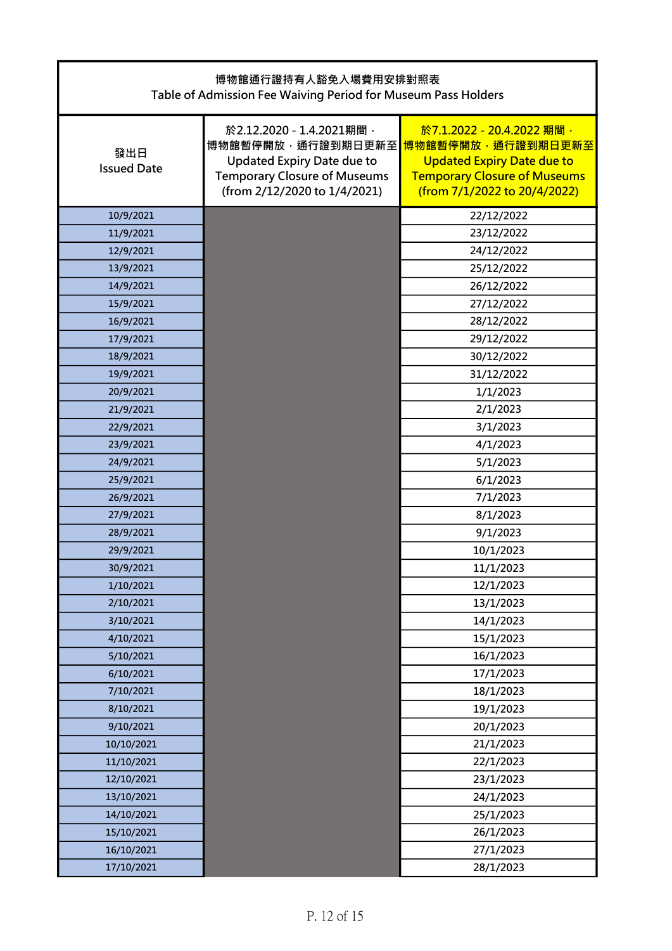| 博物館通行證持有人豁免入場費用安排對照表<br>Table of Admission Fee Waiving Period for Museum Pass Holders |                                                                                                                                                           |                                                                                                                                                            |
|---------------------------------------------------------------------------------------|-----------------------------------------------------------------------------------------------------------------------------------------------------------|------------------------------------------------------------------------------------------------------------------------------------------------------------|
| 發出日<br><b>Issued Date</b>                                                             | 於2.12.2020 - 1.4.2021期間,<br>博物館暫停開放,通行證到期日更新至<br><b>Updated Expiry Date due to</b><br><b>Temporary Closure of Museums</b><br>(from 2/12/2020 to 1/4/2021) | 於7.1.2022 - 20.4.2022 期間,<br>博物館暫停開放,通行證到期日更新至<br><b>Updated Expiry Date due to</b><br><b>Temporary Closure of Museums</b><br>(from 7/1/2022 to 20/4/2022) |
| 10/9/2021                                                                             |                                                                                                                                                           | 22/12/2022                                                                                                                                                 |
| 11/9/2021                                                                             |                                                                                                                                                           | 23/12/2022                                                                                                                                                 |
| 12/9/2021                                                                             |                                                                                                                                                           | 24/12/2022                                                                                                                                                 |
| 13/9/2021                                                                             |                                                                                                                                                           | 25/12/2022                                                                                                                                                 |
| 14/9/2021                                                                             |                                                                                                                                                           | 26/12/2022                                                                                                                                                 |
| 15/9/2021                                                                             |                                                                                                                                                           | 27/12/2022                                                                                                                                                 |
| 16/9/2021                                                                             |                                                                                                                                                           | 28/12/2022                                                                                                                                                 |
| 17/9/2021                                                                             |                                                                                                                                                           | 29/12/2022                                                                                                                                                 |
| 18/9/2021                                                                             |                                                                                                                                                           | 30/12/2022                                                                                                                                                 |
| 19/9/2021                                                                             |                                                                                                                                                           | 31/12/2022                                                                                                                                                 |
| 20/9/2021                                                                             |                                                                                                                                                           | 1/1/2023                                                                                                                                                   |
| 21/9/2021                                                                             |                                                                                                                                                           | 2/1/2023                                                                                                                                                   |
| 22/9/2021                                                                             |                                                                                                                                                           | 3/1/2023                                                                                                                                                   |
| 23/9/2021                                                                             |                                                                                                                                                           | 4/1/2023                                                                                                                                                   |
| 24/9/2021                                                                             |                                                                                                                                                           | 5/1/2023                                                                                                                                                   |
| 25/9/2021                                                                             |                                                                                                                                                           | 6/1/2023                                                                                                                                                   |
| 26/9/2021                                                                             |                                                                                                                                                           | 7/1/2023                                                                                                                                                   |
| 27/9/2021                                                                             |                                                                                                                                                           | 8/1/2023                                                                                                                                                   |
| 28/9/2021                                                                             |                                                                                                                                                           | 9/1/2023                                                                                                                                                   |
| 29/9/2021                                                                             |                                                                                                                                                           | 10/1/2023                                                                                                                                                  |
| 30/9/2021                                                                             |                                                                                                                                                           | 11/1/2023                                                                                                                                                  |
| 1/10/2021                                                                             |                                                                                                                                                           | 12/1/2023                                                                                                                                                  |
| 2/10/2021                                                                             |                                                                                                                                                           | 13/1/2023                                                                                                                                                  |
| 3/10/2021                                                                             |                                                                                                                                                           | 14/1/2023                                                                                                                                                  |
| 4/10/2021                                                                             |                                                                                                                                                           | 15/1/2023                                                                                                                                                  |
| 5/10/2021                                                                             |                                                                                                                                                           | 16/1/2023                                                                                                                                                  |
| 6/10/2021                                                                             |                                                                                                                                                           | 17/1/2023                                                                                                                                                  |
| 7/10/2021                                                                             |                                                                                                                                                           | 18/1/2023                                                                                                                                                  |
| 8/10/2021                                                                             |                                                                                                                                                           | 19/1/2023                                                                                                                                                  |
| 9/10/2021                                                                             |                                                                                                                                                           | 20/1/2023                                                                                                                                                  |
| 10/10/2021                                                                            |                                                                                                                                                           | 21/1/2023                                                                                                                                                  |
| 11/10/2021                                                                            |                                                                                                                                                           | 22/1/2023                                                                                                                                                  |
| 12/10/2021                                                                            |                                                                                                                                                           | 23/1/2023                                                                                                                                                  |
| 13/10/2021                                                                            |                                                                                                                                                           | 24/1/2023                                                                                                                                                  |
| 14/10/2021                                                                            |                                                                                                                                                           | 25/1/2023                                                                                                                                                  |
| 15/10/2021                                                                            |                                                                                                                                                           | 26/1/2023                                                                                                                                                  |
| 16/10/2021                                                                            |                                                                                                                                                           | 27/1/2023                                                                                                                                                  |
| 17/10/2021                                                                            |                                                                                                                                                           | 28/1/2023                                                                                                                                                  |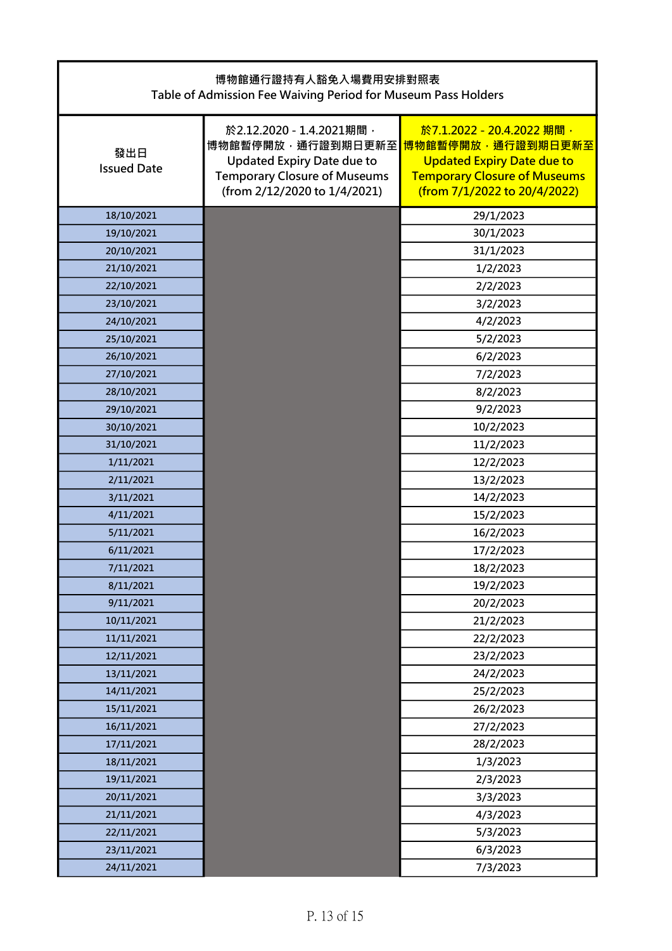| 博物館通行證持有人豁免入場費用安排對照表<br>Table of Admission Fee Waiving Period for Museum Pass Holders |                                                                                                                                                           |                                                                                                                                                            |  |
|---------------------------------------------------------------------------------------|-----------------------------------------------------------------------------------------------------------------------------------------------------------|------------------------------------------------------------------------------------------------------------------------------------------------------------|--|
| 發出日<br><b>Issued Date</b>                                                             | 於2.12.2020 - 1.4.2021期間,<br>博物館暫停開放,通行證到期日更新至<br><b>Updated Expiry Date due to</b><br><b>Temporary Closure of Museums</b><br>(from 2/12/2020 to 1/4/2021) | 於7.1.2022 - 20.4.2022 期間,<br>博物館暫停開放,通行證到期日更新至<br><b>Updated Expiry Date due to</b><br><b>Temporary Closure of Museums</b><br>(from 7/1/2022 to 20/4/2022) |  |
| 18/10/2021                                                                            |                                                                                                                                                           | 29/1/2023                                                                                                                                                  |  |
| 19/10/2021                                                                            |                                                                                                                                                           | 30/1/2023                                                                                                                                                  |  |
| 20/10/2021                                                                            |                                                                                                                                                           | 31/1/2023                                                                                                                                                  |  |
| 21/10/2021                                                                            |                                                                                                                                                           | 1/2/2023                                                                                                                                                   |  |
| 22/10/2021                                                                            |                                                                                                                                                           | 2/2/2023                                                                                                                                                   |  |
| 23/10/2021                                                                            |                                                                                                                                                           | 3/2/2023                                                                                                                                                   |  |
| 24/10/2021                                                                            |                                                                                                                                                           | 4/2/2023                                                                                                                                                   |  |
| 25/10/2021                                                                            |                                                                                                                                                           | 5/2/2023                                                                                                                                                   |  |
| 26/10/2021                                                                            |                                                                                                                                                           | 6/2/2023                                                                                                                                                   |  |
| 27/10/2021                                                                            |                                                                                                                                                           | 7/2/2023                                                                                                                                                   |  |
| 28/10/2021                                                                            |                                                                                                                                                           | 8/2/2023                                                                                                                                                   |  |
| 29/10/2021                                                                            |                                                                                                                                                           | 9/2/2023                                                                                                                                                   |  |
| 30/10/2021                                                                            |                                                                                                                                                           | 10/2/2023                                                                                                                                                  |  |
| 31/10/2021                                                                            |                                                                                                                                                           | 11/2/2023                                                                                                                                                  |  |
| 1/11/2021                                                                             |                                                                                                                                                           | 12/2/2023                                                                                                                                                  |  |
| 2/11/2021                                                                             |                                                                                                                                                           | 13/2/2023                                                                                                                                                  |  |
| 3/11/2021                                                                             |                                                                                                                                                           | 14/2/2023                                                                                                                                                  |  |
| 4/11/2021                                                                             |                                                                                                                                                           | 15/2/2023                                                                                                                                                  |  |
| 5/11/2021                                                                             |                                                                                                                                                           | 16/2/2023                                                                                                                                                  |  |
| 6/11/2021                                                                             |                                                                                                                                                           | 17/2/2023                                                                                                                                                  |  |
| 7/11/2021                                                                             |                                                                                                                                                           | 18/2/2023                                                                                                                                                  |  |
| 8/11/2021                                                                             |                                                                                                                                                           | 19/2/2023                                                                                                                                                  |  |
| 9/11/2021                                                                             |                                                                                                                                                           | 20/2/2023                                                                                                                                                  |  |
| 10/11/2021                                                                            |                                                                                                                                                           | 21/2/2023                                                                                                                                                  |  |
| 11/11/2021                                                                            |                                                                                                                                                           | 22/2/2023                                                                                                                                                  |  |
| 12/11/2021                                                                            |                                                                                                                                                           | 23/2/2023                                                                                                                                                  |  |
| 13/11/2021                                                                            |                                                                                                                                                           | 24/2/2023                                                                                                                                                  |  |
| 14/11/2021                                                                            |                                                                                                                                                           | 25/2/2023                                                                                                                                                  |  |
| 15/11/2021                                                                            |                                                                                                                                                           | 26/2/2023                                                                                                                                                  |  |
| 16/11/2021                                                                            |                                                                                                                                                           | 27/2/2023                                                                                                                                                  |  |
| 17/11/2021                                                                            |                                                                                                                                                           | 28/2/2023                                                                                                                                                  |  |
| 18/11/2021                                                                            |                                                                                                                                                           | 1/3/2023                                                                                                                                                   |  |
| 19/11/2021                                                                            |                                                                                                                                                           | 2/3/2023                                                                                                                                                   |  |
| 20/11/2021                                                                            |                                                                                                                                                           | 3/3/2023                                                                                                                                                   |  |
| 21/11/2021                                                                            |                                                                                                                                                           | 4/3/2023                                                                                                                                                   |  |
| 22/11/2021                                                                            |                                                                                                                                                           | 5/3/2023                                                                                                                                                   |  |
| 23/11/2021                                                                            |                                                                                                                                                           | 6/3/2023                                                                                                                                                   |  |
| 24/11/2021                                                                            |                                                                                                                                                           | 7/3/2023                                                                                                                                                   |  |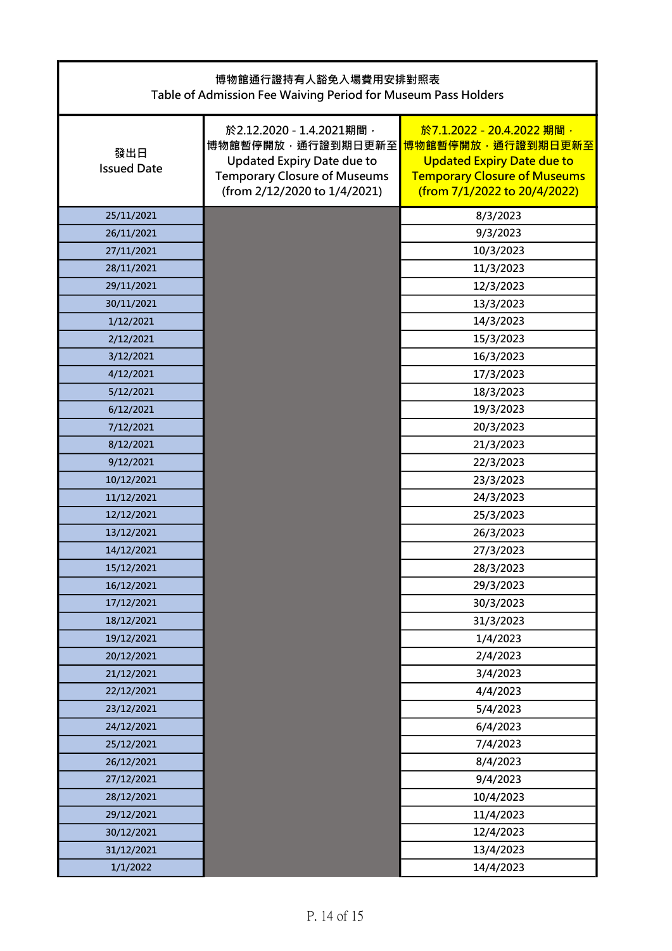| 博物館通行證持有人豁免入場費用安排對照表<br>Table of Admission Fee Waiving Period for Museum Pass Holders |                                                                                                                                                           |                                                                                                                                                            |  |
|---------------------------------------------------------------------------------------|-----------------------------------------------------------------------------------------------------------------------------------------------------------|------------------------------------------------------------------------------------------------------------------------------------------------------------|--|
| 發出日<br><b>Issued Date</b>                                                             | 於2.12.2020 - 1.4.2021期間,<br>博物館暫停開放,通行證到期日更新至<br><b>Updated Expiry Date due to</b><br><b>Temporary Closure of Museums</b><br>(from 2/12/2020 to 1/4/2021) | 於7.1.2022 - 20.4.2022 期間,<br>博物館暫停開放,通行證到期日更新至<br><b>Updated Expiry Date due to</b><br><b>Temporary Closure of Museums</b><br>(from 7/1/2022 to 20/4/2022) |  |
| 25/11/2021                                                                            |                                                                                                                                                           | 8/3/2023                                                                                                                                                   |  |
| 26/11/2021                                                                            |                                                                                                                                                           | 9/3/2023                                                                                                                                                   |  |
| 27/11/2021                                                                            |                                                                                                                                                           | 10/3/2023                                                                                                                                                  |  |
| 28/11/2021                                                                            |                                                                                                                                                           | 11/3/2023                                                                                                                                                  |  |
| 29/11/2021                                                                            |                                                                                                                                                           | 12/3/2023                                                                                                                                                  |  |
| 30/11/2021                                                                            |                                                                                                                                                           | 13/3/2023                                                                                                                                                  |  |
| 1/12/2021                                                                             |                                                                                                                                                           | 14/3/2023                                                                                                                                                  |  |
| 2/12/2021                                                                             |                                                                                                                                                           | 15/3/2023                                                                                                                                                  |  |
| 3/12/2021                                                                             |                                                                                                                                                           | 16/3/2023                                                                                                                                                  |  |
| 4/12/2021                                                                             |                                                                                                                                                           | 17/3/2023                                                                                                                                                  |  |
| 5/12/2021                                                                             |                                                                                                                                                           | 18/3/2023                                                                                                                                                  |  |
| 6/12/2021                                                                             |                                                                                                                                                           | 19/3/2023                                                                                                                                                  |  |
| 7/12/2021                                                                             |                                                                                                                                                           | 20/3/2023                                                                                                                                                  |  |
| 8/12/2021                                                                             |                                                                                                                                                           | 21/3/2023                                                                                                                                                  |  |
| 9/12/2021                                                                             |                                                                                                                                                           | 22/3/2023                                                                                                                                                  |  |
| 10/12/2021                                                                            |                                                                                                                                                           | 23/3/2023                                                                                                                                                  |  |
| 11/12/2021                                                                            |                                                                                                                                                           | 24/3/2023                                                                                                                                                  |  |
| 12/12/2021                                                                            |                                                                                                                                                           | 25/3/2023                                                                                                                                                  |  |
| 13/12/2021                                                                            |                                                                                                                                                           | 26/3/2023                                                                                                                                                  |  |
| 14/12/2021                                                                            |                                                                                                                                                           | 27/3/2023                                                                                                                                                  |  |
| 15/12/2021                                                                            |                                                                                                                                                           | 28/3/2023                                                                                                                                                  |  |
| 16/12/2021                                                                            |                                                                                                                                                           | 29/3/2023                                                                                                                                                  |  |
| 17/12/2021                                                                            |                                                                                                                                                           | 30/3/2023                                                                                                                                                  |  |
| 18/12/2021                                                                            |                                                                                                                                                           | 31/3/2023                                                                                                                                                  |  |
| 19/12/2021                                                                            |                                                                                                                                                           | 1/4/2023                                                                                                                                                   |  |
| 20/12/2021                                                                            |                                                                                                                                                           | 2/4/2023                                                                                                                                                   |  |
| 21/12/2021                                                                            |                                                                                                                                                           | 3/4/2023                                                                                                                                                   |  |
| 22/12/2021                                                                            |                                                                                                                                                           | 4/4/2023                                                                                                                                                   |  |
| 23/12/2021                                                                            |                                                                                                                                                           | 5/4/2023                                                                                                                                                   |  |
| 24/12/2021                                                                            |                                                                                                                                                           | 6/4/2023                                                                                                                                                   |  |
| 25/12/2021                                                                            |                                                                                                                                                           | 7/4/2023                                                                                                                                                   |  |
| 26/12/2021                                                                            |                                                                                                                                                           | 8/4/2023                                                                                                                                                   |  |
| 27/12/2021                                                                            |                                                                                                                                                           | 9/4/2023                                                                                                                                                   |  |
| 28/12/2021                                                                            |                                                                                                                                                           | 10/4/2023                                                                                                                                                  |  |
| 29/12/2021                                                                            |                                                                                                                                                           | 11/4/2023                                                                                                                                                  |  |
| 30/12/2021                                                                            |                                                                                                                                                           | 12/4/2023                                                                                                                                                  |  |
| 31/12/2021                                                                            |                                                                                                                                                           | 13/4/2023                                                                                                                                                  |  |
| 1/1/2022                                                                              |                                                                                                                                                           | 14/4/2023                                                                                                                                                  |  |